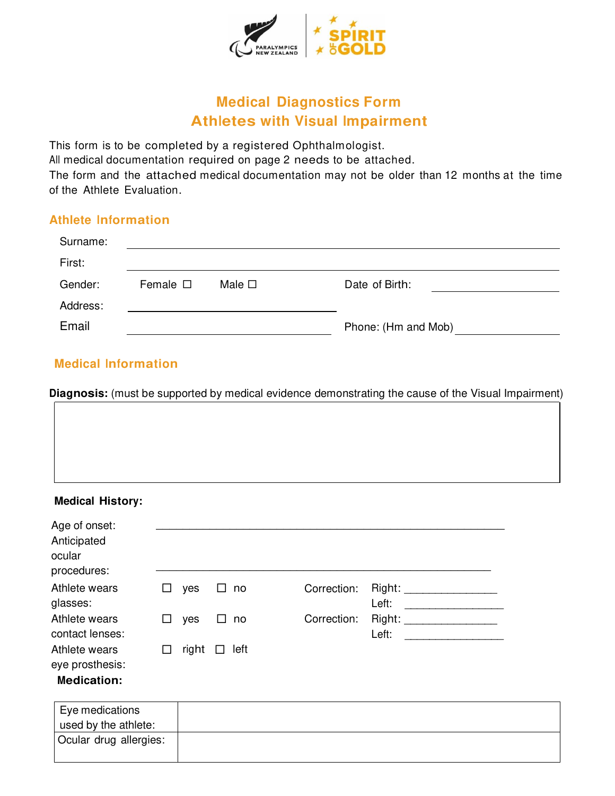

# **Medical Diagnostics Form Athletes with Visual Impairment**

This form is to be completed by a registered Ophthalmologist.

All medical documentation required on page 2 needs to be attached.

The form and the attached medical documentation may not be older than 12 months at the time of the Athlete Evaluation.

### **Athlete Information**

| Surname: |                  |                |                     |
|----------|------------------|----------------|---------------------|
| First:   |                  |                |                     |
| Gender:  | Female $\square$ | Male $\square$ | Date of Birth:      |
| Address: |                  |                |                     |
| Email    |                  |                | Phone: (Hm and Mob) |

# **Medical Information**

**Diagnosis:** (must be supported by medical evidence demonstrating the cause of the Visual Impairment)

### **Medical History:**

| Age of onset:<br>Anticipated<br>ocular<br>procedures:  |              |       |              |      |             |                 |
|--------------------------------------------------------|--------------|-------|--------------|------|-------------|-----------------|
| Athlete wears<br>glasses:                              |              | yes   |              | no   | Correction: | Right:<br>Left: |
| Athlete wears<br>contact lenses:                       | $\mathbf{L}$ | yes   | $\mathbf{1}$ | no   | Correction: | Right:<br>Left: |
| Athlete wears<br>eye prosthesis:<br><b>Medication:</b> |              | right |              | left |             |                 |

| Eye medications        |  |
|------------------------|--|
| used by the athlete:   |  |
| Ocular drug allergies: |  |
|                        |  |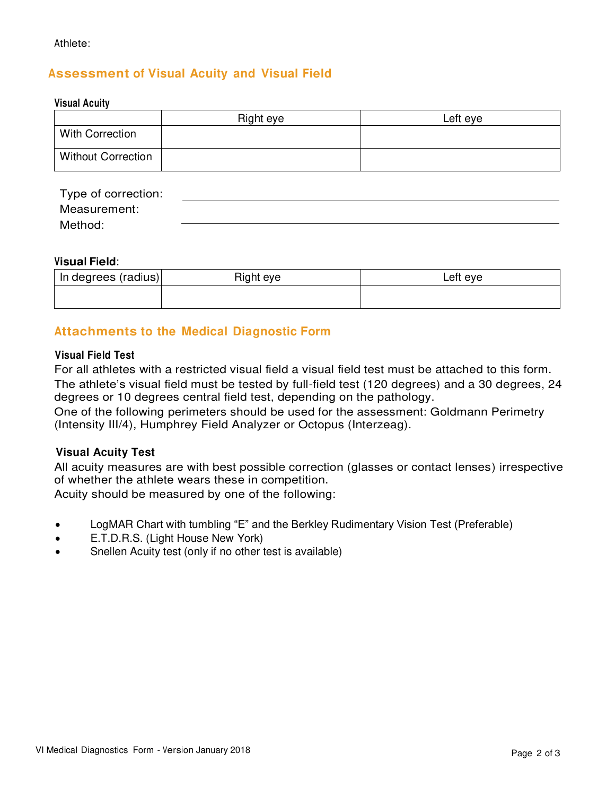## **Assessment of Visual Acuity and Visual Field**

#### **Visual Acuity**

|                           | Right eye | Left eye |
|---------------------------|-----------|----------|
| <b>With Correction</b>    |           |          |
| <b>Without Correction</b> |           |          |

| Type of correction: |  |
|---------------------|--|
| Measurement:        |  |
| Method:             |  |

### **Visual Field**:

| In degrees (radius) | Right eye | ∟eft eye |
|---------------------|-----------|----------|
|                     |           |          |

### **Attachments to the Medical Diagnostic Form**

#### **Visual Field Test**

For all athletes with a restricted visual field a visual field test must be attached to this form. The athlete's visual field must be tested by full-field test (120 degrees) and a 30 degrees, 24 degrees or 10 degrees central field test, depending on the pathology.

One of the following perimeters should be used for the assessment: Goldmann Perimetry (Intensity III/4), Humphrey Field Analyzer or Octopus (Interzeag).

### **Visual Acuity Test**

All acuity measures are with best possible correction (glasses or contact lenses) irrespective of whether the athlete wears these in competition.

Acuity should be measured by one of the following:

- LogMAR Chart with tumbling "E" and the Berkley Rudimentary Vision Test (Preferable)
- E.T.D.R.S. (Light House New York)
- Snellen Acuity test (only if no other test is available)